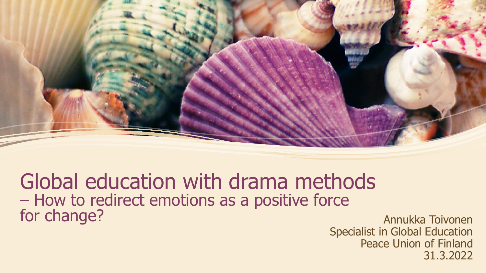

## Global education with drama methods – How to redirect emotions as a positive force for change? The change of the change of the change of the change of the change of the change of the change of the change of the change of the change of the change of the change of the change of the change of the change of

Specialist in Global Education Peace Union of Finland 31.3.2022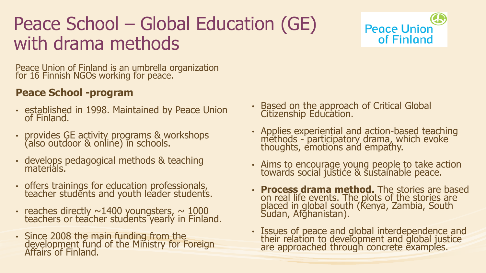## Peace School – Global Education (GE) with drama methods



Peace Union of Finland is an umbrella organization for 16 Finnish NGOs working for peace.

#### **Peace School -program**

- established in 1998. Maintained by Peace Union of Finland.
- provides GE activity programs & workshops (also outdoor & online) in schools.
- develops pedagogical methods & teaching materials.
- offers trainings for education professionals, teacher students and youth leader students.
- reaches directly  $\sim$ 1400 youngsters,  $\sim$  1000 teachers or teacher students yearly in Finland.
- Since 2008 the main funding from the development fund of the Ministry for Foreign Affairs of Finland.
- Based on the approach of Critical Global Citizenship Education.
- Applies experiential and action-based teaching methods - participatory drama, which evoke thoughts, emotions and empathy.
- Aims to encourage young people to take action towards social justice & sustainable peace.
- **Process drama method.** The stories are based on real life events. The plots of the stories are placed in global south (Kenya, Zambia, South Sudan, Afghanistan).
- Issues of peace and global interdependence and their relation to development and global justice are approached through concrete examples.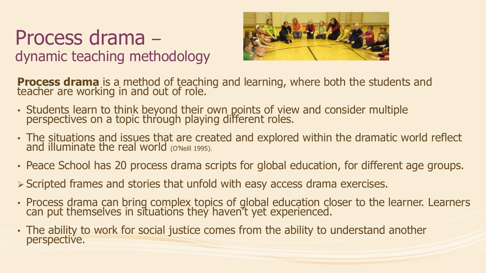## Process drama – dynamic teaching methodology



**Process drama** is a method of teaching and learning, where both the students and teacher are working in and out of role.

- Students learn to think beyond their own points of view and consider multiple perspectives on a topic through playing different roles.
- The situations and issues that are created and explored within the dramatic world reflect and illuminate the real world (O'Neill 1995).
- Peace School has 20 process drama scripts for global education, for different age groups.
- ➢ Scripted frames and stories that unfold with easy access drama exercises.
- Process drama can bring complex topics of global education closer to the learner. Learners can put themselves in situations they haven't yet experienced.
- The ability to work for social justice comes from the ability to understand another perspective.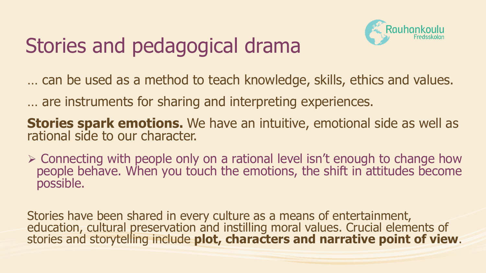# Stories and pedagogical drama



… can be used as a method to teach knowledge, skills, ethics and values.

… are instruments for sharing and interpreting experiences.

**Stories spark emotions.** We have an intuitive, emotional side as well as rational side to our character.

➢ Connecting with people only on a rational level isn't enough to change how people behave. When you touch the emotions, the shift in attitudes become possible.

Stories have been shared in every culture as a means of entertainment, education, cultural preservation and instilling moral values. Crucial elements of stories and storytelling include **plot, characters and narrative point of view**.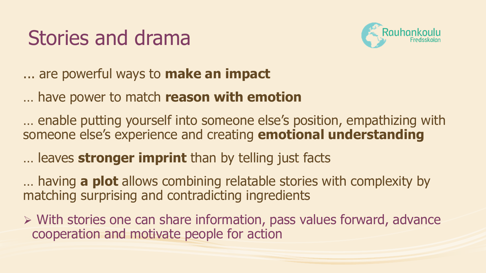# Stories and drama



... are powerful ways to **make an impact**

… have power to match **reason with emotion**

… enable putting yourself into someone else's position, empathizing with someone else's experience and creating **emotional understanding** 

… leaves **stronger imprint** than by telling just facts

… having **a plot** allows combining relatable stories with complexity by matching surprising and contradicting ingredients

➢ With stories one can share information, pass values forward, advance cooperation and motivate people for action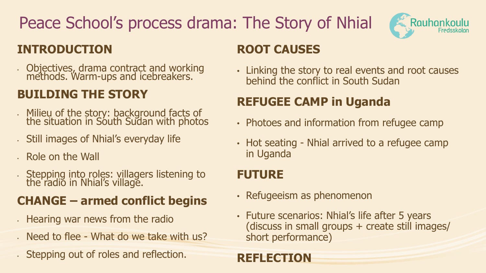## Peace School's process drama: The Story of Nhial



#### **INTRODUCTION**

• Objectives, drama contract and working methods. Warm-ups and icebreakers.

### **BUILDING THE STORY**

- Milieu of the story: background facts of the situation in South Sudan with photos
- Still images of Nhial's everyday life
- Role on the Wall
- Stepping into roles: villagers listening to the radio in Nhial's village.

### **CHANGE – armed conflict begins**

- Hearing war news from the radio
- Need to flee What do we take with us?
- Stepping out of roles and reflection.

#### **ROOT CAUSES**

• Linking the story to real events and root causes behind the conflict in South Sudan

### **REFUGEE CAMP in Uganda**

- Photoes and information from refugee camp
- Hot seating Nhial arrived to a refugee camp in Uganda

### **FUTURE**

- Refugeeism as phenomenon
- Future scenarios: Nhial's life after 5 years (discuss in small groups + create still images/ short performance)

#### **REFLECTION**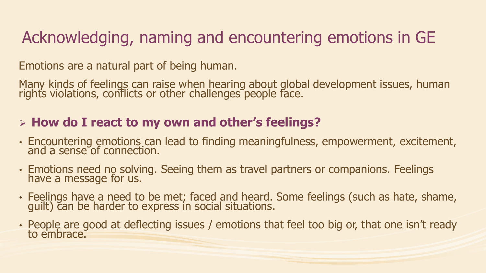## Acknowledging, naming and encountering emotions in GE

Emotions are a natural part of being human.

Many kinds of feelings can raise when hearing about global development issues, human right's violations, conflicts or other challenges people face.

#### ➢ **How do I react to my own and other's feelings?**

- Encountering emotions can lead to finding meaningfulness, empowerment, excitement, and a sense of connection.
- Emotions need no solving. Seeing them as travel partners or companions. Feelings have a message for us.
- Feelings have a need to be met; faced and heard. Some feelings (such as hate, shame, guilt) can be harder to express in social situations.
- People are good at deflecting issues / emotions that feel too big or, that one isn't ready to embrace.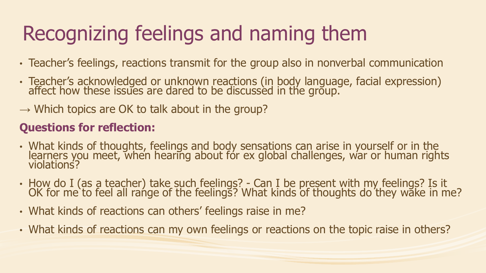# Recognizing feelings and naming them

- Teacher's feelings, reactions transmit for the group also in nonverbal communication
- Teacher's acknowledged or unknown reactions (in body language, facial expression) affect how these issues are dared to be discussed in the group.
- $\rightarrow$  Which topics are OK to talk about in the group?

#### **Questions for reflection:**

- What kinds of thoughts, feelings and body sensations can arise in yourself or in the learners you meet, when hearing about for ex global challenges, war or human rights violations?
- How do I (as a teacher) take such feelings? Can I be present with my feelings? Is it OK for me to feel all range of the feelings? What kinds of thoughts do they wake in me?
- What kinds of reactions can others' feelings raise in me?
- What kinds of reactions can my own feelings or reactions on the topic raise in others?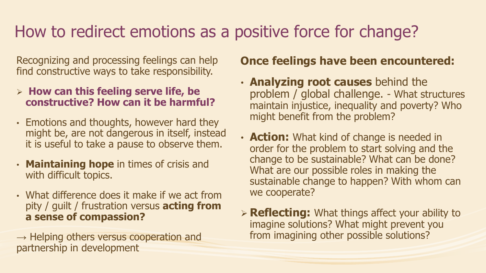## How to redirect emotions as a positive force for change?

Recognizing and processing feelings can help find constructive ways to take responsibility.

- ➢ **How can this feeling serve life, be constructive? How can it be harmful?**
- Emotions and thoughts, however hard they might be, are not dangerous in itself, instead it is useful to take a pause to observe them.
- **Maintaining hope** in times of crisis and with difficult topics.
- What difference does it make if we act from pity / guilt / frustration versus **acting from a sense of compassion?**

 $\rightarrow$  Helping others versus cooperation and partnership in development

#### **Once feelings have been encountered:**

- **Analyzing root causes** behind the problem / global challenge. - What structures maintain injustice, inequality and poverty? Who might benefit from the problem?
- **Action:** What kind of change is needed in order for the problem to start solving and the change to be sustainable? What can be done? What are our possible roles in making the sustainable change to happen? With whom can we cooperate?
- ➢ **Reflecting:** What things affect your ability to imagine solutions? What might prevent you from imagining other possible solutions?